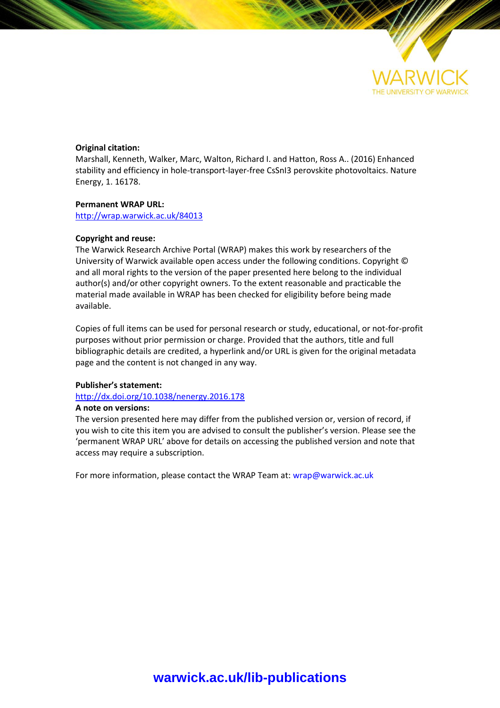

## **Original citation:**

Marshall, Kenneth, Walker, Marc, Walton, Richard I. and Hatton, Ross A.. (2016) Enhanced stability and efficiency in hole-transport-layer-free CsSnI3 perovskite photovoltaics. Nature Energy, 1. 16178.

## **Permanent WRAP URL:**

<http://wrap.warwick.ac.uk/84013>

## **Copyright and reuse:**

The Warwick Research Archive Portal (WRAP) makes this work by researchers of the University of Warwick available open access under the following conditions. Copyright © and all moral rights to the version of the paper presented here belong to the individual author(s) and/or other copyright owners. To the extent reasonable and practicable the material made available in WRAP has been checked for eligibility before being made available.

Copies of full items can be used for personal research or study, educational, or not-for-profit purposes without prior permission or charge. Provided that the authors, title and full bibliographic details are credited, a hyperlink and/or URL is given for the original metadata page and the content is not changed in any way.

# **Publisher's statement:**

<http://dx.doi.org/10.1038/nenergy.2016.178>

## **A note on versions:**

The version presented here may differ from the published version or, version of record, if you wish to cite this item you are advised to consult the publisher's version. Please see the 'permanent WRAP URL' above for details on accessing the published version and note that access may require a subscription.

For more information, please contact the WRAP Team at[: wrap@warwick.ac.uk](mailto:wrap@warwick.ac.uk)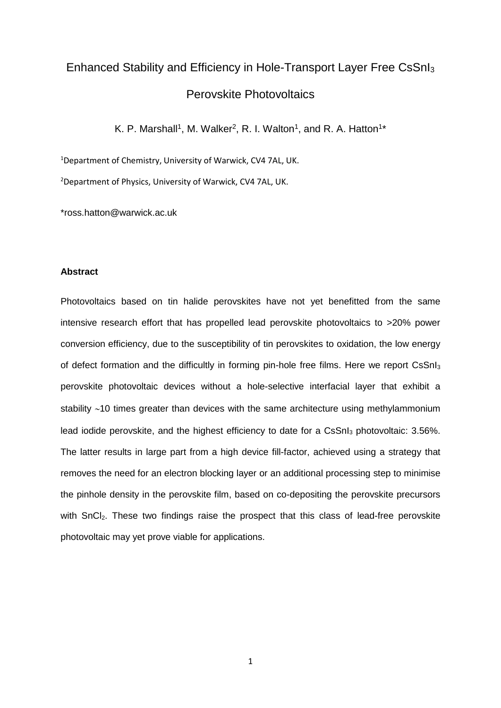# Enhanced Stability and Efficiency in Hole-Transport Layer Free CsSnI<sup>3</sup> Perovskite Photovoltaics

K. P. Marshall<sup>1</sup>, M. Walker<sup>2</sup>, R. I. Walton<sup>1</sup>, and R. A. Hatton<sup>1\*</sup>

<sup>1</sup>Department of Chemistry, University of Warwick, CV4 7AL, UK.

<sup>2</sup>Department of Physics, University of Warwick, CV4 7AL, UK.

\*ross.hatton@warwick.ac.uk

# **Abstract**

Photovoltaics based on tin halide perovskites have not yet benefitted from the same intensive research effort that has propelled lead perovskite photovoltaics to >20% power conversion efficiency, due to the susceptibility of tin perovskites to oxidation, the low energy of defect formation and the difficultly in forming pin-hole free films. Here we report CsSnI<sub>3</sub> perovskite photovoltaic devices without a hole-selective interfacial layer that exhibit a stability  $~10$  times greater than devices with the same architecture using methylammonium lead iodide perovskite, and the highest efficiency to date for a CsSnI<sub>3</sub> photovoltaic: 3.56%. The latter results in large part from a high device fill-factor, achieved using a strategy that removes the need for an electron blocking layer or an additional processing step to minimise the pinhole density in the perovskite film, based on co-depositing the perovskite precursors with SnCl<sub>2</sub>. These two findings raise the prospect that this class of lead-free perovskite photovoltaic may yet prove viable for applications.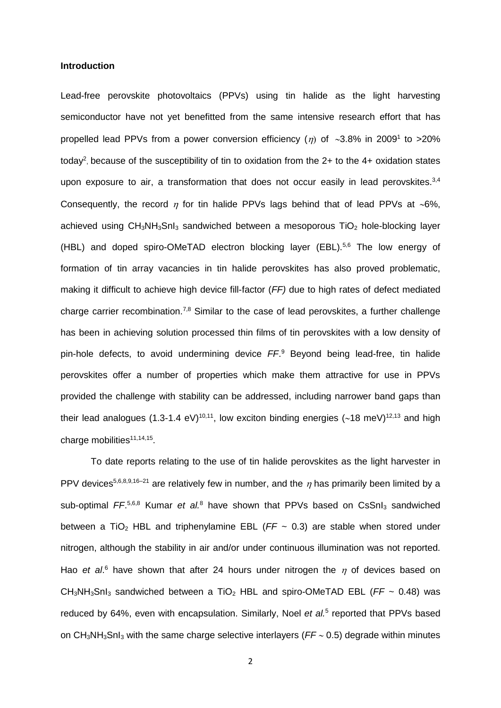## **Introduction**

Lead-free perovskite photovoltaics (PPVs) using tin halide as the light harvesting semiconductor have not yet benefitted from the same intensive research effort that has propelled lead PPVs from a power conversion efficiency ( $\eta$ ) of  $\sim$ 3.8% in 2009<sup>1</sup> to >20% today<sup>2</sup>, because of the susceptibility of tin to oxidation from the 2+ to the 4+ oxidation states upon exposure to air, a transformation that does not occur easily in lead perovskites. $3,4$ Consequently, the record  $\eta$  for tin halide PPVs lags behind that of lead PPVs at ~6%, achieved using CH<sub>3</sub>NH<sub>3</sub>SnI<sub>3</sub> sandwiched between a mesoporous TiO<sub>2</sub> hole-blocking layer (HBL) and doped spiro-OMeTAD electron blocking layer (EBL).<sup>5,6</sup> The low energy of formation of tin array vacancies in tin halide perovskites has also proved problematic, making it difficult to achieve high device fill-factor (*FF)* due to high rates of defect mediated charge carrier recombination.<sup>7,8</sup> Similar to the case of lead perovskites, a further challenge has been in achieving solution processed thin films of tin perovskites with a low density of pin-hole defects, to avoid undermining device *FF*. <sup>9</sup> Beyond being lead-free, tin halide perovskites offer a number of properties which make them attractive for use in PPVs provided the challenge with stability can be addressed, including narrower band gaps than their lead analogues (1.3-1.4 eV)<sup>10,11</sup>, low exciton binding energies (~18 meV)<sup>12,13</sup> and high charge mobilities<sup>11,14,15</sup>.

To date reports relating to the use of tin halide perovskites as the light harvester in PPV devices<sup>5,6,8,9,16-21</sup> are relatively few in number, and the  $\eta$  has primarily been limited by a sub-optimal FF.<sup>5,6,8</sup> Kumar *et al.*<sup>8</sup> have shown that PPVs based on CsSnI<sub>3</sub> sandwiched between a TiO<sub>2</sub> HBL and triphenylamine EBL ( $FF \sim 0.3$ ) are stable when stored under nitrogen, although the stability in air and/or under continuous illumination was not reported. Hao *et al.*<sup>6</sup> have shown that after 24 hours under nitrogen the  $\eta$  of devices based on CH3NH3SnI<sup>3</sup> sandwiched between a TiO<sup>2</sup> HBL and spiro-OMeTAD EBL (*FF* ~ 0.48) was reduced by 64%, even with encapsulation. Similarly, Noel *et al.*<sup>5</sup> reported that PPVs based on  $CH_3NH_3Sh_3$  with the same charge selective interlayers ( $FF \sim 0.5$ ) degrade within minutes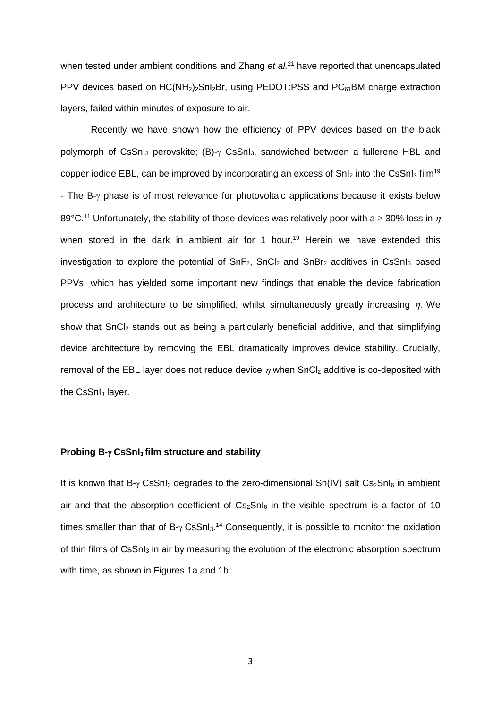when tested under ambient conditions, and Zhang *et al.*<sup>21</sup> have reported that unencapsulated PPV devices based on  $HC(NH<sub>2</sub>)<sub>2</sub>SnI<sub>2</sub>Br$ , using PEDOT:PSS and  $PC<sub>61</sub>BM$  charge extraction layers, failed within minutes of exposure to air.

Recently we have shown how the efficiency of PPV devices based on the black polymorph of CsSnI<sub>3</sub> perovskite;  $(B)$ - $\gamma$  CsSnI<sub>3</sub>, sandwiched between a fullerene HBL and copper iodide EBL, can be improved by incorporating an excess of  $SnI<sub>2</sub>$  into the CsSnI<sub>3</sub> film<sup>19</sup> - The B- $\gamma$  phase is of most relevance for photovoltaic applications because it exists below 89°C.<sup>11</sup> Unfortunately, the stability of those devices was relatively poor with a  $\geq$  30% loss in n when stored in the dark in ambient air for 1 hour. <sup>19</sup> Herein we have extended this investigation to explore the potential of  $SnF<sub>2</sub>$ ,  $SnCl<sub>2</sub>$  and  $SnBr<sub>2</sub>$  additives in CsSnI<sub>3</sub> based PPVs, which has yielded some important new findings that enable the device fabrication process and architecture to be simplified, whilst simultaneously greatly increasing  $\eta$ . We show that  $SnCl<sub>2</sub>$  stands out as being a particularly beneficial additive, and that simplifying device architecture by removing the EBL dramatically improves device stability. Crucially, removal of the EBL layer does not reduce device  $\eta$  when SnCl<sub>2</sub> additive is co-deposited with the  $CsSnI<sub>3</sub>$  layer.

## **Probing B-** $\gamma$  **CsSnI<sub>3</sub> film structure and stability**

It is known that  $B_{\gamma}$  CsSnI<sub>3</sub> degrades to the zero-dimensional Sn(IV) salt Cs<sub>2</sub>SnI<sub>6</sub> in ambient air and that the absorption coefficient of  $Cs<sub>2</sub>SnI<sub>6</sub>$  in the visible spectrum is a factor of 10 times smaller than that of  $B-\gamma$  CsSnI<sub>3</sub>.<sup>14</sup> Consequently, it is possible to monitor the oxidation of thin films of CsSnI<sub>3</sub> in air by measuring the evolution of the electronic absorption spectrum with time, as shown in Figures 1a and 1b.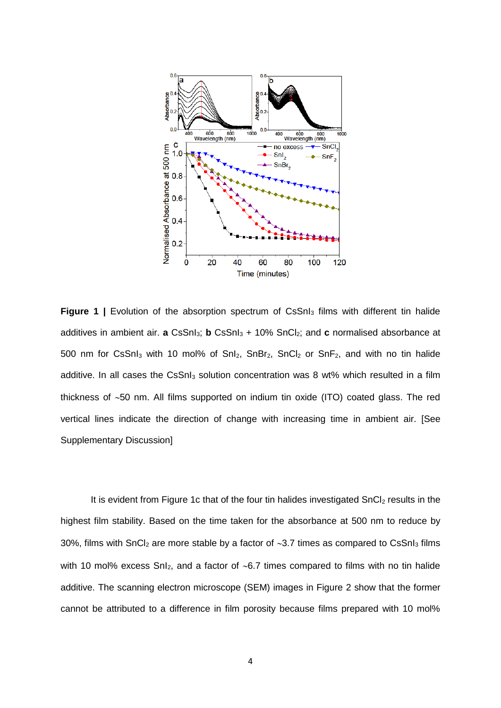

**Figure 1** | Evolution of the absorption spectrum of CsSnI<sub>3</sub> films with different tin halide additives in ambient air. **a** CsSnI<sub>3</sub>; **b** CsSnI<sub>3</sub> + 10% SnCI<sub>2</sub>; and **c** normalised absorbance at 500 nm for CsSnI<sub>3</sub> with 10 mol% of SnI<sub>2</sub>, SnBr<sub>2</sub>, SnCI<sub>2</sub> or SnF<sub>2</sub>, and with no tin halide additive. In all cases the CsSnI<sub>3</sub> solution concentration was 8 wt% which resulted in a film thickness of  $~50$  nm. All films supported on indium tin oxide (ITO) coated glass. The red vertical lines indicate the direction of change with increasing time in ambient air. [See Supplementary Discussion]

It is evident from Figure 1c that of the four tin halides investigated SnCl<sub>2</sub> results in the highest film stability. Based on the time taken for the absorbance at 500 nm to reduce by 30%, films with SnCl<sub>2</sub> are more stable by a factor of  $\sim$ 3.7 times as compared to CsSnI<sub>3</sub> films with 10 mol% excess  $SnI<sub>2</sub>$ , and a factor of ~6.7 times compared to films with no tin halide additive. The scanning electron microscope (SEM) images in Figure 2 show that the former cannot be attributed to a difference in film porosity because films prepared with 10 mol%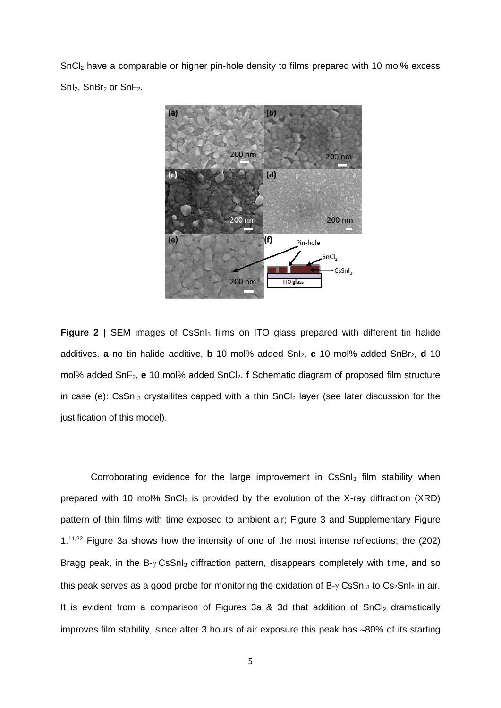SnCl<sup>2</sup> have a comparable or higher pin-hole density to films prepared with 10 mol% excess  $SnI<sub>2</sub>$ ,  $SnBr<sub>2</sub>$  or  $SnF<sub>2</sub>$ .



**Figure 2** | SEM images of CsSnI<sub>3</sub> films on ITO glass prepared with different tin halide additives. **a** no tin halide additive, **b** 10 mol% added SnI<sub>2</sub>, **c** 10 mol% added SnBr<sub>2</sub>, **d** 10 mol% added SnF<sub>2</sub>, e 10 mol% added SnCl<sub>2</sub>. **f** Schematic diagram of proposed film structure in case (e):  $CsSnI<sub>3</sub>$  crystallites capped with a thin  $SnCl<sub>2</sub>$  layer (see later discussion for the justification of this model).

Corroborating evidence for the large improvement in  $CSShl<sub>3</sub>$  film stability when prepared with 10 mol%  $SnCl<sub>2</sub>$  is provided by the evolution of the X-ray diffraction (XRD) pattern of thin films with time exposed to ambient air; Figure 3 and Supplementary Figure 1.<sup>11,22</sup> Figure 3a shows how the intensity of one of the most intense reflections; the (202) Bragg peak, in the  $B - \gamma$  CsSnI<sub>3</sub> diffraction pattern, disappears completely with time, and so this peak serves as a good probe for monitoring the oxidation of  $B_{\gamma}$  CsSnI<sub>3</sub> to Cs<sub>2</sub>SnI<sub>6</sub> in air. It is evident from a comparison of Figures 3a & 3d that addition of  $SnCl<sub>2</sub>$  dramatically improves film stability, since after 3 hours of air exposure this peak has  $~80\%$  of its starting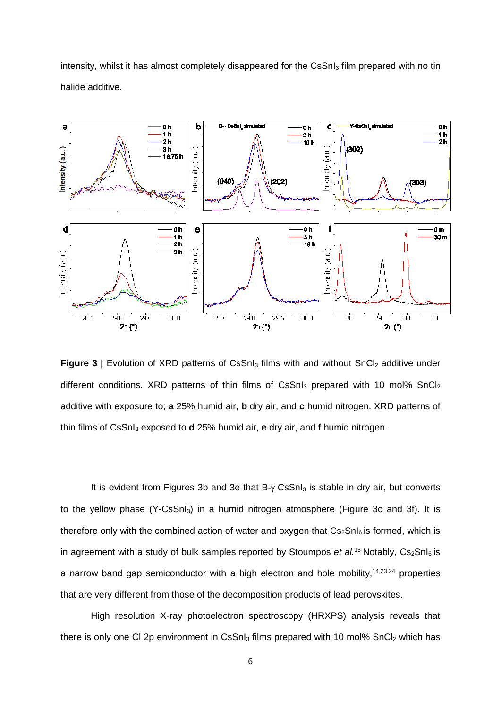intensity, whilst it has almost completely disappeared for the CsSnI<sub>3</sub> film prepared with no tin halide additive.



**Figure 3** | Evolution of XRD patterns of CsSnI<sub>3</sub> films with and without SnCI<sub>2</sub> additive under different conditions. XRD patterns of thin films of  $CSSn<sub>3</sub>$  prepared with 10 mol%  $SnCl<sub>2</sub>$ additive with exposure to; **a** 25% humid air, **b** dry air, and **c** humid nitrogen. XRD patterns of thin films of CsSnI<sup>3</sup> exposed to **d** 25% humid air, **e** dry air, and **f** humid nitrogen.

It is evident from Figures 3b and 3e that  $B - \gamma$  CsSnI<sub>3</sub> is stable in dry air, but converts to the yellow phase (Y-CsSnI<sub>3</sub>) in a humid nitrogen atmosphere (Figure 3c and 3f). It is therefore only with the combined action of water and oxygen that  $Cs<sub>2</sub>SnI<sub>6</sub>$  is formed, which is in agreement with a study of bulk samples reported by Stoumpos *et al.*<sup>15</sup> Notably,  $Cs<sub>2</sub>SnI<sub>6</sub>$  is a narrow band gap semiconductor with a high electron and hole mobility,  $14,23,24$  properties that are very different from those of the decomposition products of lead perovskites.

High resolution X-ray photoelectron spectroscopy (HRXPS) analysis reveals that there is only one CI 2p environment in CsSnI $_3$  films prepared with 10 mol% SnCI $_2$  which has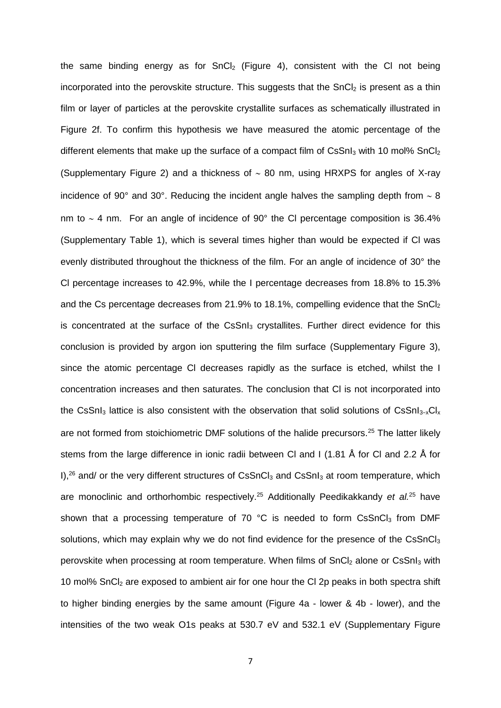the same binding energy as for  $SnCl<sub>2</sub>$  (Figure 4), consistent with the CI not being incorporated into the perovskite structure. This suggests that the  $SnCl<sub>2</sub>$  is present as a thin film or layer of particles at the perovskite crystallite surfaces as schematically illustrated in Figure 2f. To confirm this hypothesis we have measured the atomic percentage of the different elements that make up the surface of a compact film of  $CSSnI<sub>3</sub>$  with 10 mol%  $SnCl<sub>2</sub>$ (Supplementary Figure 2) and a thickness of  $\sim$  80 nm, using HRXPS for angles of X-ray incidence of 90 $^{\circ}$  and 30 $^{\circ}$ . Reducing the incident angle halves the sampling depth from  $\sim$  8 nm to  $\sim$  4 nm. For an angle of incidence of 90 $^{\circ}$  the CI percentage composition is 36.4% (Supplementary Table 1), which is several times higher than would be expected if Cl was evenly distributed throughout the thickness of the film. For an angle of incidence of 30° the Cl percentage increases to 42.9%, while the I percentage decreases from 18.8% to 15.3% and the Cs percentage decreases from 21.9% to 18.1%, compelling evidence that the  $SnCl<sub>2</sub>$ is concentrated at the surface of the  $CSShl<sub>3</sub>$  crystallites. Further direct evidence for this conclusion is provided by argon ion sputtering the film surface (Supplementary Figure 3), since the atomic percentage Cl decreases rapidly as the surface is etched, whilst the I concentration increases and then saturates. The conclusion that Cl is not incorporated into the CsSnI<sub>3</sub> lattice is also consistent with the observation that solid solutions of CsSnI<sub>3-x</sub>Cl<sub>x</sub> are not formed from stoichiometric DMF solutions of the halide precursors.<sup>25</sup> The latter likely stems from the large difference in ionic radii between Cl and I (1.81 Å for Cl and 2.2 Å for I), $26$  and/ or the very different structures of CsSnCl<sub>3</sub> and CsSnI<sub>3</sub> at room temperature, which are monoclinic and orthorhombic respectively.<sup>25</sup> Additionally Peedikakkandy *et al.*<sup>25</sup> have shown that a processing temperature of 70  $^{\circ}$ C is needed to form CsSnCl<sub>3</sub> from DMF solutions, which may explain why we do not find evidence for the presence of the  $CsSnCl<sub>3</sub>$ perovskite when processing at room temperature. When films of  $SnCl<sub>2</sub>$  alone or CsSnI<sub>3</sub> with 10 mol% SnCl<sub>2</sub> are exposed to ambient air for one hour the Cl 2p peaks in both spectra shift to higher binding energies by the same amount (Figure 4a - lower & 4b - lower), and the intensities of the two weak O1s peaks at 530.7 eV and 532.1 eV (Supplementary Figure

7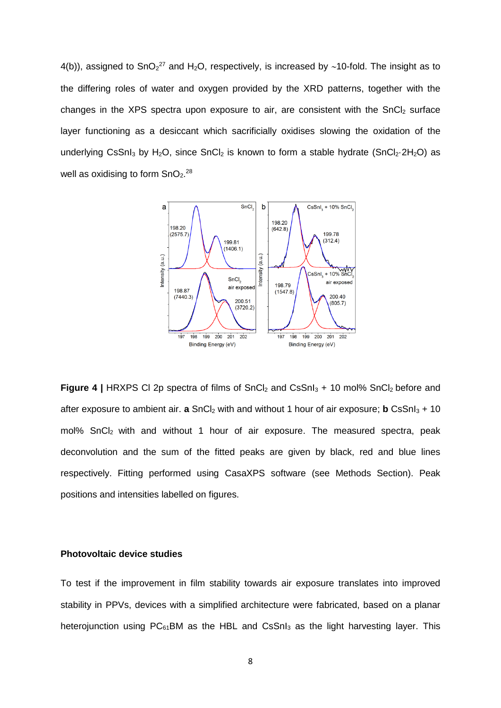4(b)), assigned to SnO<sub>2</sub><sup>27</sup> and H<sub>2</sub>O, respectively, is increased by ~10-fold. The insight as to the differing roles of water and oxygen provided by the XRD patterns, together with the changes in the XPS spectra upon exposure to air, are consistent with the  $SnCl<sub>2</sub>$  surface layer functioning as a desiccant which sacrificially oxidises slowing the oxidation of the underlying CsSnI<sub>3</sub> by H<sub>2</sub>O, since SnCI<sub>2</sub> is known to form a stable hydrate (SnCI<sub>2</sub>·2H<sub>2</sub>O) as well as oxidising to form  $SnO<sub>2</sub>^{28}$ 



**Figure 4** | HRXPS CI 2p spectra of films of SnCl<sub>2</sub> and CsSnI<sub>3</sub> + 10 mol% SnCl<sub>2</sub> before and after exposure to ambient air. **a** SnCl<sub>2</sub> with and without 1 hour of air exposure; **b** CsSnl<sub>3</sub> + 10  $mol\%$  SnCl<sub>2</sub> with and without 1 hour of air exposure. The measured spectra, peak deconvolution and the sum of the fitted peaks are given by black, red and blue lines respectively. Fitting performed using CasaXPS software (see Methods Section). Peak positions and intensities labelled on figures.

## **Photovoltaic device studies**

To test if the improvement in film stability towards air exposure translates into improved stability in PPVs, devices with a simplified architecture were fabricated, based on a planar heterojunction using  $PC_{61}$ BM as the HBL and CsSnI<sub>3</sub> as the light harvesting layer. This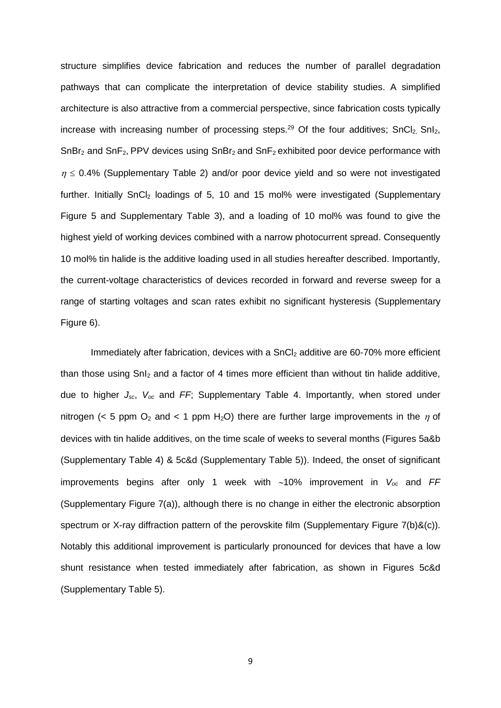structure simplifies device fabrication and reduces the number of parallel degradation pathways that can complicate the interpretation of device stability studies. A simplified architecture is also attractive from a commercial perspective, since fabrication costs typically increase with increasing number of processing steps.<sup>29</sup> Of the four additives;  $SnCl<sub>2</sub> SnI<sub>2</sub>$ ,  $SnBr<sub>2</sub>$  and  $SnF<sub>2</sub>$ , PPV devices using  $SnBr<sub>2</sub>$  and  $SnF<sub>2</sub>$  exhibited poor device performance with  $\eta \leq 0.4\%$  (Supplementary Table 2) and/or poor device yield and so were not investigated further. Initially SnCl<sub>2</sub> loadings of 5, 10 and 15 mol% were investigated (Supplementary Figure 5 and Supplementary Table 3), and a loading of 10 mol% was found to give the highest yield of working devices combined with a narrow photocurrent spread. Consequently 10 mol% tin halide is the additive loading used in all studies hereafter described. Importantly, the current-voltage characteristics of devices recorded in forward and reverse sweep for a range of starting voltages and scan rates exhibit no significant hysteresis (Supplementary Figure 6).

Immediately after fabrication, devices with a SnCl<sub>2</sub> additive are 60-70% more efficient than those using  $SnI<sub>2</sub>$  and a factor of 4 times more efficient than without tin halide additive, due to higher *Jsc*, *Voc* and *FF*; Supplementary Table 4. Importantly, when stored under nitrogen (< 5 ppm  $O_2$  and < 1 ppm H<sub>2</sub>O) there are further large improvements in the  $\eta$  of devices with tin halide additives, on the time scale of weeks to several months (Figures 5a&b (Supplementary Table 4) & 5c&d (Supplementary Table 5)). Indeed, the onset of significant improvements begins after only 1 week with  $~1$ <sup>0%</sup> improvement in  $V_{oc}$  and *FF* (Supplementary Figure 7(a)), although there is no change in either the electronic absorption spectrum or X-ray diffraction pattern of the perovskite film (Supplementary Figure 7(b)&(c)). Notably this additional improvement is particularly pronounced for devices that have a low shunt resistance when tested immediately after fabrication, as shown in Figures 5c&d (Supplementary Table 5).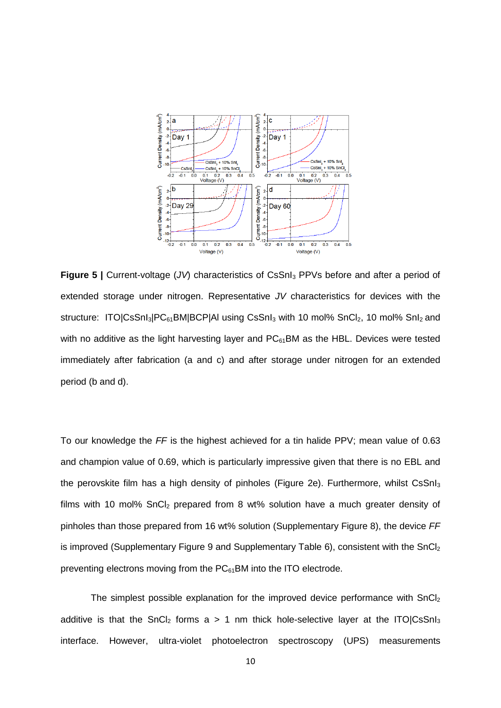

**Figure 5** | Current-voltage (*JV*) characteristics of CsSnI<sub>3</sub> PPVs before and after a period of extended storage under nitrogen. Representative *JV* characteristics for devices with the structure: ITO|CsSnI<sub>3</sub>|PC<sub>61</sub>BM|BCP|AI using CsSnI<sub>3</sub> with 10 mol% SnCI<sub>2</sub>, 10 mol% SnI<sub>2</sub> and with no additive as the light harvesting layer and  $PC_{61}$ BM as the HBL. Devices were tested immediately after fabrication (a and c) and after storage under nitrogen for an extended period (b and d).

To our knowledge the *FF* is the highest achieved for a tin halide PPV; mean value of 0.63 and champion value of 0.69, which is particularly impressive given that there is no EBL and the perovskite film has a high density of pinholes (Figure 2e). Furthermore, whilst CsSnI<sub>3</sub> films with 10 mol%  $SnCl<sub>2</sub>$  prepared from 8 wt% solution have a much greater density of pinholes than those prepared from 16 wt% solution (Supplementary Figure 8), the device *FF* is improved (Supplementary Figure 9 and Supplementary Table 6), consistent with the SnCl<sub>2</sub> preventing electrons moving from the  $PC<sub>61</sub>$ BM into the ITO electrode.

The simplest possible explanation for the improved device performance with SnCl<sub>2</sub> additive is that the SnCl<sub>2</sub> forms a  $> 1$  nm thick hole-selective layer at the ITO|CsSnI<sub>3</sub> interface. However, ultra-violet photoelectron spectroscopy (UPS) measurements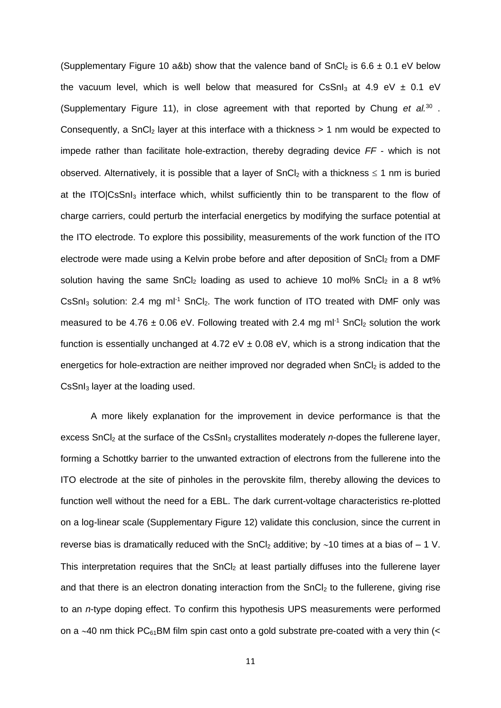(Supplementary Figure 10 a&b) show that the valence band of SnCl<sub>2</sub> is 6.6  $\pm$  0.1 eV below the vacuum level, which is well below that measured for CsSnI<sub>3</sub> at 4.9 eV  $\pm$  0.1 eV (Supplementary Figure 11), in close agreement with that reported by Chung *et al.*<sup>30</sup> . Consequently, a SnCl<sub>2</sub> layer at this interface with a thickness  $> 1$  nm would be expected to impede rather than facilitate hole-extraction, thereby degrading device *FF* - which is not observed. Alternatively, it is possible that a layer of  $SnCl<sub>2</sub>$  with a thickness  $\leq 1$  nm is buried at the ITO|CsSnI<sub>3</sub> interface which, whilst sufficiently thin to be transparent to the flow of charge carriers, could perturb the interfacial energetics by modifying the surface potential at the ITO electrode. To explore this possibility, measurements of the work function of the ITO electrode were made using a Kelvin probe before and after deposition of  $SnCl<sub>2</sub>$  from a DMF solution having the same  $SnCl<sub>2</sub>$  loading as used to achieve 10 mol%  $SnCl<sub>2</sub>$  in a 8 wt%  $CsSnI<sub>3</sub>$  solution: 2.4 mg ml<sup>-1</sup> SnCl<sub>2</sub>. The work function of ITO treated with DMF only was measured to be 4.76  $\pm$  0.06 eV. Following treated with 2.4 mg ml<sup>-1</sup> SnCl<sub>2</sub> solution the work function is essentially unchanged at 4.72 eV  $\pm$  0.08 eV, which is a strong indication that the energetics for hole-extraction are neither improved nor degraded when  $SnCl<sub>2</sub>$  is added to the CsSnI<sup>3</sup> layer at the loading used.

A more likely explanation for the improvement in device performance is that the excess SnCl<sub>2</sub> at the surface of the CsSnI<sub>3</sub> crystallites moderately *n*-dopes the fullerene layer, forming a Schottky barrier to the unwanted extraction of electrons from the fullerene into the ITO electrode at the site of pinholes in the perovskite film, thereby allowing the devices to function well without the need for a EBL. The dark current-voltage characteristics re-plotted on a log-linear scale (Supplementary Figure 12) validate this conclusion, since the current in reverse bias is dramatically reduced with the SnCl<sub>2</sub> additive; by  $\sim$ 10 times at a bias of – 1 V. This interpretation requires that the  $SnCl<sub>2</sub>$  at least partially diffuses into the fullerene layer and that there is an electron donating interaction from the  $SnCl<sub>2</sub>$  to the fullerene, giving rise to an *n*-type doping effect. To confirm this hypothesis UPS measurements were performed on a  $\sim$ 40 nm thick PC $_{61}$ BM film spin cast onto a gold substrate pre-coated with a very thin (<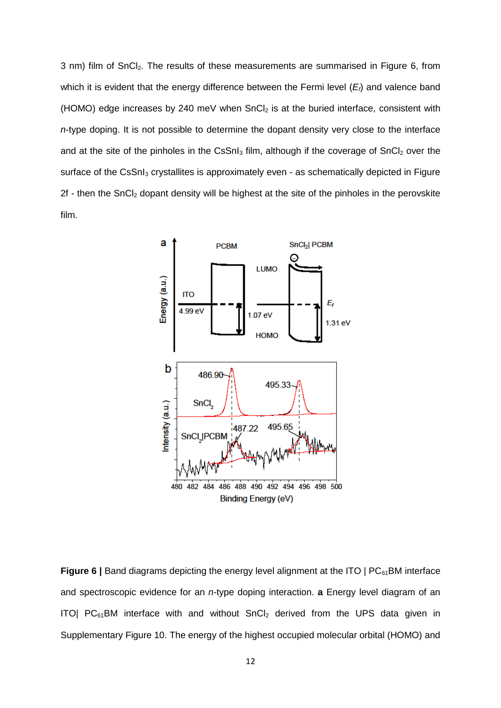3 nm) film of SnCl<sub>2</sub>. The results of these measurements are summarised in Figure 6, from which it is evident that the energy difference between the Fermi level (*Ef*) and valence band (HOMO) edge increases by 240 meV when  $SnCl<sub>2</sub>$  is at the buried interface, consistent with *n*-type doping. It is not possible to determine the dopant density very close to the interface and at the site of the pinholes in the CsSnI $_3$  film, although if the coverage of SnCI $_2$  over the surface of the CsSnI<sub>3</sub> crystallites is approximately even - as schematically depicted in Figure 2f - then the SnCl<sub>2</sub> dopant density will be highest at the site of the pinholes in the perovskite film.



**Figure 6** | Band diagrams depicting the energy level alignment at the ITO | PC<sub>61</sub>BM interface and spectroscopic evidence for an *n*-type doping interaction. **a** Energy level diagram of an ITO|  $PC_{61}$ BM interface with and without SnCl<sub>2</sub> derived from the UPS data given in Supplementary Figure 10. The energy of the highest occupied molecular orbital (HOMO) and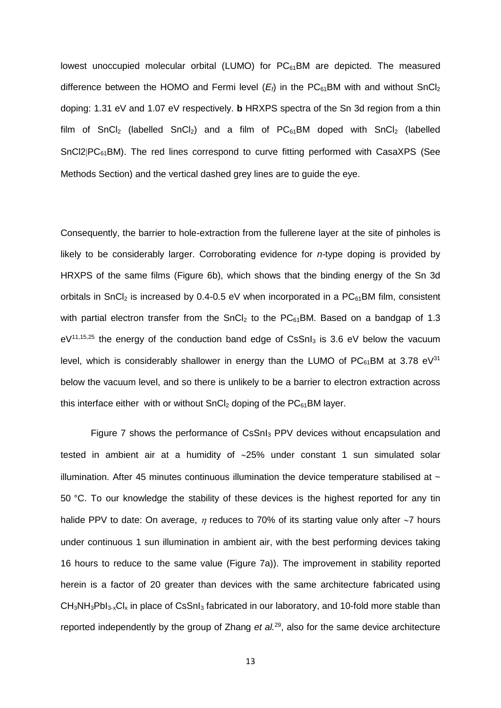lowest unoccupied molecular orbital (LUMO) for  $PC_{61}$ BM are depicted. The measured difference between the HOMO and Fermi level  $(E_i)$  in the PC $_{61}$ BM with and without SnCl<sub>2</sub> doping: 1.31 eV and 1.07 eV respectively. **b** HRXPS spectra of the Sn 3d region from a thin film of SnCl<sub>2</sub> (labelled SnCl<sub>2</sub>) and a film of  $PC_{61}$ BM doped with SnCl<sub>2</sub> (labelled  $SnCI|PC<sub>61</sub>BM)$ . The red lines correspond to curve fitting performed with CasaXPS (See Methods Section) and the vertical dashed grey lines are to guide the eye.

Consequently, the barrier to hole-extraction from the fullerene layer at the site of pinholes is likely to be considerably larger. Corroborating evidence for *n*-type doping is provided by HRXPS of the same films (Figure 6b), which shows that the binding energy of the Sn 3d orbitals in SnCl<sub>2</sub> is increased by 0.4-0.5 eV when incorporated in a  $PC_{61}$ BM film, consistent with partial electron transfer from the SnCl<sub>2</sub> to the  $PC_{61}$ BM. Based on a bandgap of 1.3  $eV^{11,15,25}$  the energy of the conduction band edge of CsSnl<sub>3</sub> is 3.6 eV below the vacuum level, which is considerably shallower in energy than the LUMO of  $PC_{61}$ BM at 3.78 eV<sup>31</sup> below the vacuum level, and so there is unlikely to be a barrier to electron extraction across this interface either with or without  $SnCl<sub>2</sub>$  doping of the  $PC<sub>61</sub>BM$  layer.

Figure 7 shows the performance of CsSnI<sup>3</sup> PPV devices without encapsulation and tested in ambient air at a humidity of 25% under constant 1 sun simulated solar illumination. After 45 minutes continuous illumination the device temperature stabilised at  $\sim$ 50 °C. To our knowledge the stability of these devices is the highest reported for any tin halide PPV to date: On average,  $\eta$  reduces to 70% of its starting value only after  $\sim$ 7 hours under continuous 1 sun illumination in ambient air, with the best performing devices taking 16 hours to reduce to the same value (Figure 7a)). The improvement in stability reported herein is a factor of 20 greater than devices with the same architecture fabricated using  $CH_3NH_3Pb1_{3-x}Cl_x$  in place of CsSnI<sub>3</sub> fabricated in our laboratory, and 10-fold more stable than reported independently by the group of Zhang *et al.*<sup>29</sup> , also for the same device architecture

13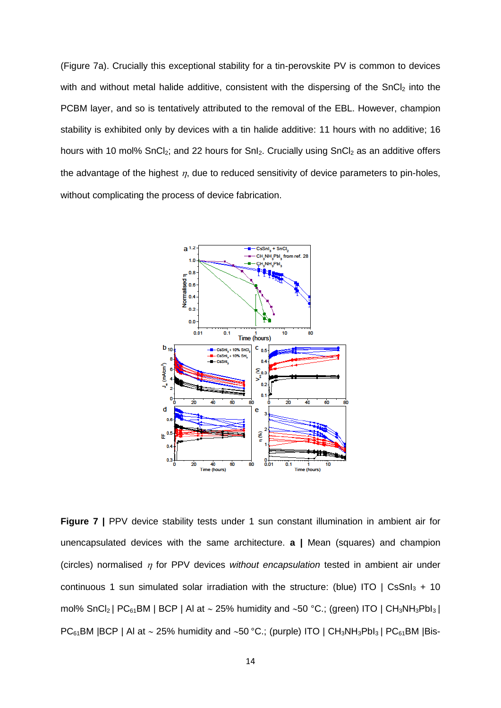(Figure 7a). Crucially this exceptional stability for a tin-perovskite PV is common to devices with and without metal halide additive, consistent with the dispersing of the SnCl<sub>2</sub> into the PCBM layer, and so is tentatively attributed to the removal of the EBL. However, champion stability is exhibited only by devices with a tin halide additive: 11 hours with no additive; 16 hours with 10 mol% SnCl<sub>2</sub>; and 22 hours for SnI<sub>2</sub>. Crucially using SnCl<sub>2</sub> as an additive offers the advantage of the highest  $\eta$ , due to reduced sensitivity of device parameters to pin-holes, without complicating the process of device fabrication.



**Figure 7** | PPV device stability tests under 1 sun constant illumination in ambient air for unencapsulated devices with the same architecture. **a |** Mean (squares) and champion (circles) normalised  $\eta$  for PPV devices *without encapsulation* tested in ambient air under continuous 1 sun simulated solar irradiation with the structure: (blue) ITO | CsSnI<sub>3</sub> + 10 mol% SnCl<sub>2</sub> | PC<sub>61</sub>BM | BCP | Al at  $\sim$  25% humidity and  $\sim$ 50 °C.; (green) ITO | CH<sub>3</sub>NH<sub>3</sub>PbI<sub>3</sub> |  $PC_{61}$ BM |BCP | Al at  $\sim$  25% humidity and  $\sim$ 50 °C.; (purple) ITO | CH<sub>3</sub>NH<sub>3</sub>PbI<sub>3</sub> | PC<sub>61</sub>BM |Bis-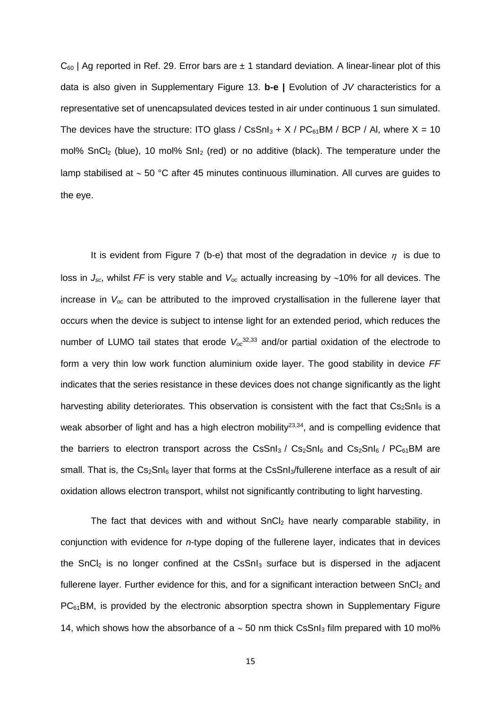$C_{60}$  | Ag reported in Ref. 29. Error bars are  $\pm$  1 standard deviation. A linear-linear plot of this data is also given in Supplementary Figure 13. **b-e |** Evolution of *JV* characteristics for a representative set of unencapsulated devices tested in air under continuous 1 sun simulated. The devices have the structure: ITO glass / CsSnI<sub>3</sub> + X / PC $_{61}$ BM / BCP / AI, where X = 10 mol% SnCl<sub>2</sub> (blue), 10 mol% Snl<sub>2</sub> (red) or no additive (black). The temperature under the lamp stabilised at  $\sim$  50 °C after 45 minutes continuous illumination. All curves are quides to the eye.

It is evident from Figure 7 (b-e) that most of the degradation in device  $\eta$  is due to loss in  $J_{sc}$ , whilst FF is very stable and  $V_{oc}$  actually increasing by ~10% for all devices. The increase in *Voc* can be attributed to the improved crystallisation in the fullerene layer that occurs when the device is subject to intense light for an extended period, which reduces the number of LUMO tail states that erode *Voc* 32,33 and/or partial oxidation of the electrode to form a very thin low work function aluminium oxide layer. The good stability in device *FF* indicates that the series resistance in these devices does not change significantly as the light harvesting ability deteriorates. This observation is consistent with the fact that  $Cs<sub>2</sub>SnI<sub>6</sub>$  is a weak absorber of light and has a high electron mobility $^{23,34}$ , and is compelling evidence that the barriers to electron transport across the CsSnI<sub>3</sub> / Cs<sub>2</sub>SnI<sub>6</sub> and Cs<sub>2</sub>SnI<sub>6</sub> / PC<sub>61</sub>BM are small. That is, the  $Cs<sub>2</sub>Sn<sub>16</sub>$  layer that forms at the CsSnI<sub>3</sub>/fullerene interface as a result of air oxidation allows electron transport, whilst not significantly contributing to light harvesting.

The fact that devices with and without SnCl<sub>2</sub> have nearly comparable stability, in conjunction with evidence for *n*-type doping of the fullerene layer, indicates that in devices the SnC $l_2$  is no longer confined at the CsSn $l_3$  surface but is dispersed in the adjacent fullerene layer. Further evidence for this, and for a significant interaction between  $SnCl<sub>2</sub>$  and  $PC<sub>61</sub>BM$ , is provided by the electronic absorption spectra shown in Supplementary Figure 14, which shows how the absorbance of a  $\sim$  50 nm thick CsSnI<sub>3</sub> film prepared with 10 mol%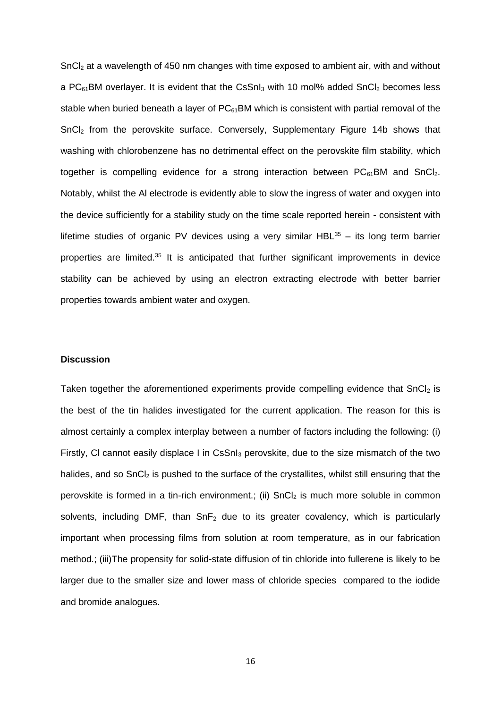SnCl<sup>2</sup> at a wavelength of 450 nm changes with time exposed to ambient air, with and without a  $PC_{61}$ BM overlayer. It is evident that the CsSnI<sub>3</sub> with 10 mol% added SnCI<sub>2</sub> becomes less stable when buried beneath a layer of  $PC_{61}$ BM which is consistent with partial removal of the SnCl<sup>2</sup> from the perovskite surface. Conversely, Supplementary Figure 14b shows that washing with chlorobenzene has no detrimental effect on the perovskite film stability, which together is compelling evidence for a strong interaction between  $PC_{61}BM$  and  $SnCl<sub>2</sub>$ . Notably, whilst the Al electrode is evidently able to slow the ingress of water and oxygen into the device sufficiently for a stability study on the time scale reported herein - consistent with lifetime studies of organic PV devices using a very similar  $HBL^{35}$  – its long term barrier properties are limited.<sup>35</sup> It is anticipated that further significant improvements in device stability can be achieved by using an electron extracting electrode with better barrier properties towards ambient water and oxygen.

## **Discussion**

Taken together the aforementioned experiments provide compelling evidence that  $SnCl<sub>2</sub>$  is the best of the tin halides investigated for the current application. The reason for this is almost certainly a complex interplay between a number of factors including the following: (i) Firstly, CI cannot easily displace I in CsSnI<sub>3</sub> perovskite, due to the size mismatch of the two halides, and so  $SnCl<sub>2</sub>$  is pushed to the surface of the crystallites, whilst still ensuring that the perovskite is formed in a tin-rich environment.; (ii) SnCl<sub>2</sub> is much more soluble in common solvents, including DMF, than  $SnF<sub>2</sub>$  due to its greater covalency, which is particularly important when processing films from solution at room temperature, as in our fabrication method.; (iii)The propensity for solid-state diffusion of tin chloride into fullerene is likely to be larger due to the smaller size and lower mass of chloride species compared to the iodide and bromide analogues.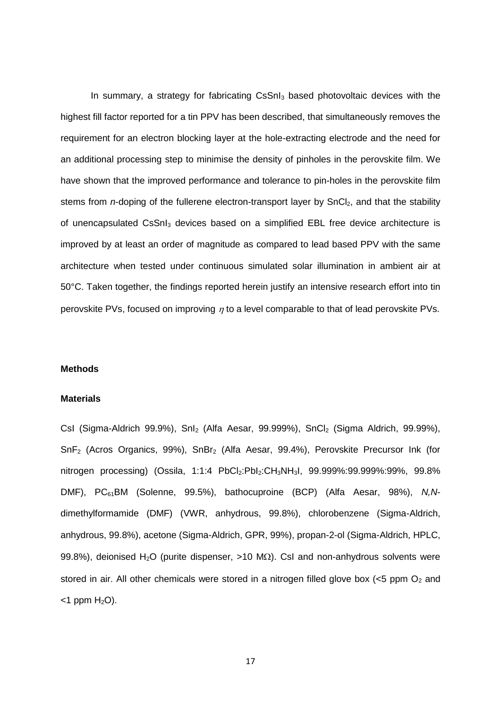In summary, a strategy for fabricating CsSnI<sub>3</sub> based photovoltaic devices with the highest fill factor reported for a tin PPV has been described, that simultaneously removes the requirement for an electron blocking layer at the hole-extracting electrode and the need for an additional processing step to minimise the density of pinholes in the perovskite film. We have shown that the improved performance and tolerance to pin-holes in the perovskite film stems from *n*-doping of the fullerene electron-transport layer by SnCl<sub>2</sub>, and that the stability of unencapsulated CsSnI<sub>3</sub> devices based on a simplified EBL free device architecture is improved by at least an order of magnitude as compared to lead based PPV with the same architecture when tested under continuous simulated solar illumination in ambient air at 50°C. Taken together, the findings reported herein justify an intensive research effort into tin perovskite PVs, focused on improving  $n$  to a level comparable to that of lead perovskite PVs.

## **Methods**

#### **Materials**

CsI (Sigma-Aldrich 99.9%), SnI<sub>2</sub> (Alfa Aesar, 99.999%), SnCI<sub>2</sub> (Sigma Aldrich, 99.99%), SnF<sup>2</sup> (Acros Organics, 99%), SnBr<sup>2</sup> (Alfa Aesar, 99.4%), Perovskite Precursor Ink (for nitrogen processing) (Ossila, 1:1:4 PbCl<sub>2</sub>:PbI<sub>2</sub>:CH<sub>3</sub>NH<sub>3</sub>I, 99.999%:99.999%:99%, 99.8% DMF), PC61BM (Solenne, 99.5%), bathocuproine (BCP) (Alfa Aesar, 98%), *N,N*dimethylformamide (DMF) (VWR, anhydrous, 99.8%), chlorobenzene (Sigma-Aldrich, anhydrous, 99.8%), acetone (Sigma-Aldrich, GPR, 99%), propan-2-ol (Sigma-Aldrich, HPLC, 99.8%), deionised H<sub>2</sub>O (purite dispenser,  $>10$  M $\Omega$ ). CsI and non-anhydrous solvents were stored in air. All other chemicals were stored in a nitrogen filled glove box  $\langle$ <5 ppm O<sub>2</sub> and  $<$ 1 ppm H<sub>2</sub>O).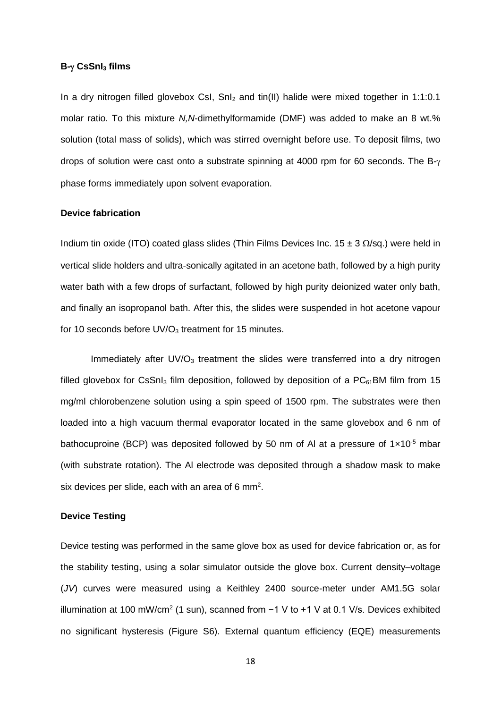## **B- CsSnI<sup>3</sup> films**

In a dry nitrogen filled glovebox CsI,  $SnI<sub>2</sub>$  and tin(II) halide were mixed together in 1:1:0.1 molar ratio. To this mixture *N,N*-dimethylformamide (DMF) was added to make an 8 wt.% solution (total mass of solids), which was stirred overnight before use. To deposit films, two drops of solution were cast onto a substrate spinning at 4000 rpm for 60 seconds. The  $B-y$ phase forms immediately upon solvent evaporation.

## **Device fabrication**

Indium tin oxide (ITO) coated glass slides (Thin Films Devices Inc.  $15 \pm 3$   $\Omega$ /sq.) were held in vertical slide holders and ultra-sonically agitated in an acetone bath, followed by a high purity water bath with a few drops of surfactant, followed by high purity deionized water only bath, and finally an isopropanol bath. After this, the slides were suspended in hot acetone vapour for 10 seconds before  $UV/O<sub>3</sub>$  treatment for 15 minutes.

Immediately after  $UV/O<sub>3</sub>$  treatment the slides were transferred into a dry nitrogen filled alovebox for CsSnI<sub>3</sub> film deposition, followed by deposition of a  $PC<sub>61</sub>BM$  film from 15 mg/ml chlorobenzene solution using a spin speed of 1500 rpm. The substrates were then loaded into a high vacuum thermal evaporator located in the same glovebox and 6 nm of bathocuproine (BCP) was deposited followed by 50 nm of Al at a pressure of  $1 \times 10^{-5}$  mbar (with substrate rotation). The Al electrode was deposited through a shadow mask to make six devices per slide, each with an area of 6 mm<sup>2</sup>.

# **Device Testing**

Device testing was performed in the same glove box as used for device fabrication or, as for the stability testing, using a solar simulator outside the glove box. Current density–voltage (*JV*) curves were measured using a Keithley 2400 source-meter under AM1.5G solar illumination at 100 mW/cm<sup>2</sup> (1 sun), scanned from  $-1$  V to +1 V at 0.1 V/s. Devices exhibited no significant hysteresis (Figure S6). External quantum efficiency (EQE) measurements

18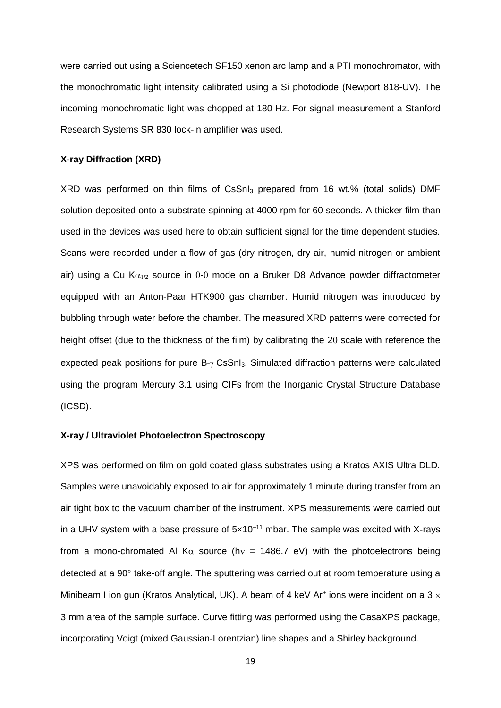were carried out using a Sciencetech SF150 xenon arc lamp and a PTI monochromator, with the monochromatic light intensity calibrated using a Si photodiode (Newport 818-UV). The incoming monochromatic light was chopped at 180 Hz. For signal measurement a Stanford Research Systems SR 830 lock-in amplifier was used.

## **X-ray Diffraction (XRD)**

XRD was performed on thin films of CsSnI $_3$  prepared from 16 wt.% (total solids) DMF solution deposited onto a substrate spinning at 4000 rpm for 60 seconds. A thicker film than used in the devices was used here to obtain sufficient signal for the time dependent studies. Scans were recorded under a flow of gas (dry nitrogen, dry air, humid nitrogen or ambient air) using a Cu K $\alpha_{1/2}$  source in  $\theta$ - $\theta$  mode on a Bruker D8 Advance powder diffractometer equipped with an Anton-Paar HTK900 gas chamber. Humid nitrogen was introduced by bubbling through water before the chamber. The measured XRD patterns were corrected for height offset (due to the thickness of the film) by calibrating the 2 $\theta$  scale with reference the expected peak positions for pure  $B-y$  CsSnI<sub>3</sub>. Simulated diffraction patterns were calculated using the program Mercury 3.1 using CIFs from the Inorganic Crystal Structure Database (ICSD).

# **X-ray / Ultraviolet Photoelectron Spectroscopy**

XPS was performed on film on gold coated glass substrates using a Kratos AXIS Ultra DLD. Samples were unavoidably exposed to air for approximately 1 minute during transfer from an air tight box to the vacuum chamber of the instrument. XPS measurements were carried out in a UHV system with a base pressure of  $5 \times 10^{-11}$  mbar. The sample was excited with X-rays from a mono-chromated Al K $\alpha$  source (hv = 1486.7 eV) with the photoelectrons being detected at a 90° take-off angle. The sputtering was carried out at room temperature using a Minibeam I ion gun (Kratos Analytical, UK). A beam of 4 keV Ar<sup>+</sup> ions were incident on a 3  $\times$ 3 mm area of the sample surface. Curve fitting was performed using the CasaXPS package, incorporating Voigt (mixed Gaussian-Lorentzian) line shapes and a Shirley background.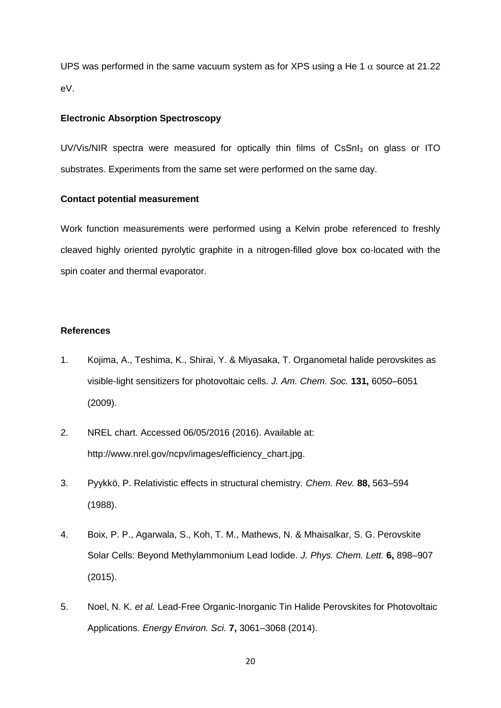UPS was performed in the same vacuum system as for XPS using a He 1  $\alpha$  source at 21.22 eV.

## **Electronic Absorption Spectroscopy**

UV/Vis/NIR spectra were measured for optically thin films of CsSnI<sub>3</sub> on glass or ITO substrates. Experiments from the same set were performed on the same day.

# **Contact potential measurement**

Work function measurements were performed using a Kelvin probe referenced to freshly cleaved highly oriented pyrolytic graphite in a nitrogen-filled glove box co-located with the spin coater and thermal evaporator.

## **References**

- 1. Kojima, A., Teshima, K., Shirai, Y. & Miyasaka, T. Organometal halide perovskites as visible-light sensitizers for photovoltaic cells. *J. Am. Chem. Soc.* **131,** 6050–6051 (2009).
- 2. NREL chart. Accessed 06/05/2016 (2016). Available at: http://www.nrel.gov/ncpv/images/efficiency\_chart.jpg.
- 3. Pyykkö, P. Relativistic effects in structural chemistry. *Chem. Rev.* **88,** 563–594 (1988).
- 4. Boix, P. P., Agarwala, S., Koh, T. M., Mathews, N. & Mhaisalkar, S. G. Perovskite Solar Cells: Beyond Methylammonium Lead Iodide. *J. Phys. Chem. Lett.* **6,** 898–907 (2015).
- 5. Noel, N. K. *et al.* Lead-Free Organic-Inorganic Tin Halide Perovskites for Photovoltaic Applications. *Energy Environ. Sci.* **7,** 3061–3068 (2014).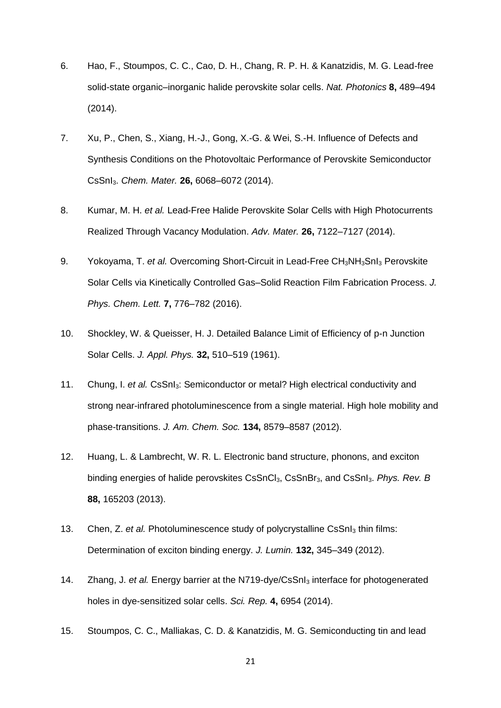- 6. Hao, F., Stoumpos, C. C., Cao, D. H., Chang, R. P. H. & Kanatzidis, M. G. Lead-free solid-state organic–inorganic halide perovskite solar cells. *Nat. Photonics* **8,** 489–494 (2014).
- 7. Xu, P., Chen, S., Xiang, H.-J., Gong, X.-G. & Wei, S.-H. Influence of Defects and Synthesis Conditions on the Photovoltaic Performance of Perovskite Semiconductor CsSnI3. *Chem. Mater.* **26,** 6068–6072 (2014).
- 8. Kumar, M. H. *et al.* Lead-Free Halide Perovskite Solar Cells with High Photocurrents Realized Through Vacancy Modulation. *Adv. Mater.* **26,** 7122–7127 (2014).
- 9. Yokoyama, T. *et al.* Overcoming Short-Circuit in Lead-Free CH<sub>3</sub>NH<sub>3</sub>SnI<sub>3</sub> Perovskite Solar Cells via Kinetically Controlled Gas–Solid Reaction Film Fabrication Process. *J. Phys. Chem. Lett.* **7,** 776–782 (2016).
- 10. Shockley, W. & Queisser, H. J. Detailed Balance Limit of Efficiency of p-n Junction Solar Cells. *J. Appl. Phys.* **32,** 510–519 (1961).
- 11. Chung, I. *et al.* CsSnI3: Semiconductor or metal? High electrical conductivity and strong near-infrared photoluminescence from a single material. High hole mobility and phase-transitions. *J. Am. Chem. Soc.* **134,** 8579–8587 (2012).
- 12. Huang, L. & Lambrecht, W. R. L. Electronic band structure, phonons, and exciton binding energies of halide perovskites CsSnCl3, CsSnBr3, and CsSnI3. *Phys. Rev. B* **88,** 165203 (2013).
- 13. Chen, Z. *et al.* Photoluminescence study of polycrystalline CsSnI<sup>3</sup> thin films: Determination of exciton binding energy. *J. Lumin.* **132,** 345–349 (2012).
- 14. Zhang, J. *et al.* Energy barrier at the N719-dye/CsSnI<sub>3</sub> interface for photogenerated holes in dye-sensitized solar cells. *Sci. Rep.* **4,** 6954 (2014).
- 15. Stoumpos, C. C., Malliakas, C. D. & Kanatzidis, M. G. Semiconducting tin and lead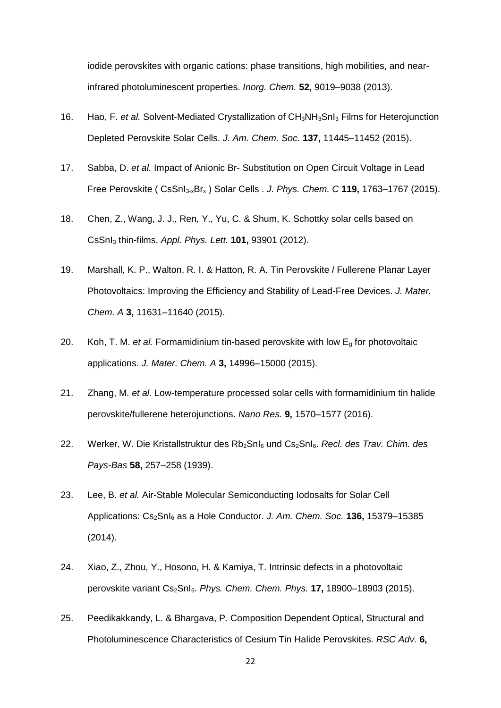iodide perovskites with organic cations: phase transitions, high mobilities, and nearinfrared photoluminescent properties. *Inorg. Chem.* **52,** 9019–9038 (2013).

- 16. Hao, F. *et al.* Solvent-Mediated Crystallization of CH<sub>3</sub>NH<sub>3</sub>SnI<sub>3</sub> Films for Heterojunction Depleted Perovskite Solar Cells. *J. Am. Chem. Soc.* **137,** 11445–11452 (2015).
- 17. Sabba, D. *et al.* Impact of Anionic Br- Substitution on Open Circuit Voltage in Lead Free Perovskite ( CsSnI3-xBr<sup>x</sup> ) Solar Cells . *J. Phys. Chem. C* **119,** 1763–1767 (2015).
- 18. Chen, Z., Wang, J. J., Ren, Y., Yu, C. & Shum, K. Schottky solar cells based on CsSnI<sup>3</sup> thin-films. *Appl. Phys. Lett.* **101,** 93901 (2012).
- 19. Marshall, K. P., Walton, R. I. & Hatton, R. A. Tin Perovskite / Fullerene Planar Layer Photovoltaics: Improving the Efficiency and Stability of Lead-Free Devices. *J. Mater. Chem. A* **3,** 11631–11640 (2015).
- 20. Koh, T. M. *et al.* Formamidinium tin-based perovskite with low E<sup>g</sup> for photovoltaic applications. *J. Mater. Chem. A* **3,** 14996–15000 (2015).
- 21. Zhang, M. *et al.* Low-temperature processed solar cells with formamidinium tin halide perovskite/fullerene heterojunctions. *Nano Res.* **9,** 1570–1577 (2016).
- 22. Werker, W. Die Kristallstruktur des Rb2SnI<sup>6</sup> und Cs2SnI6. *Recl. des Trav. Chim. des Pays-Bas* **58,** 257–258 (1939).
- 23. Lee, B. *et al.* Air-Stable Molecular Semiconducting Iodosalts for Solar Cell Applications: Cs2SnI<sup>6</sup> as a Hole Conductor. *J. Am. Chem. Soc.* **136,** 15379–15385 (2014).
- 24. Xiao, Z., Zhou, Y., Hosono, H. & Kamiya, T. Intrinsic defects in a photovoltaic perovskite variant Cs2SnI6. *Phys. Chem. Chem. Phys.* **17,** 18900–18903 (2015).
- 25. Peedikakkandy, L. & Bhargava, P. Composition Dependent Optical, Structural and Photoluminescence Characteristics of Cesium Tin Halide Perovskites. *RSC Adv.* **6,**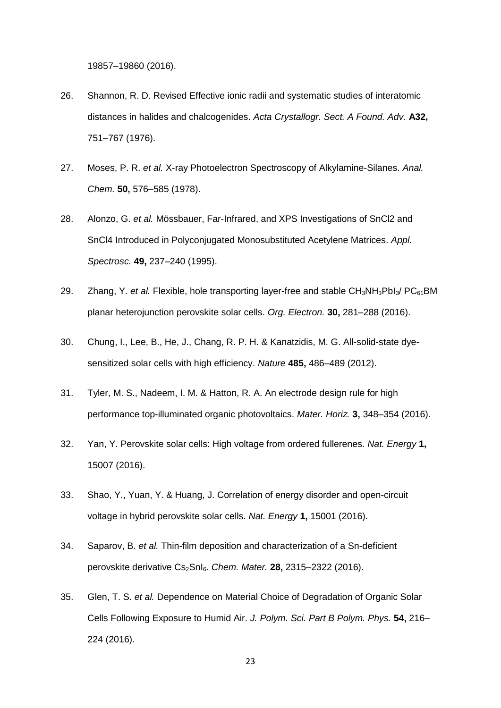19857–19860 (2016).

- 26. Shannon, R. D. Revised Effective ionic radii and systematic studies of interatomic distances in halides and chalcogenides. *Acta Crystallogr. Sect. A Found. Adv.* **A32,** 751–767 (1976).
- 27. Moses, P. R. *et al.* X-ray Photoelectron Spectroscopy of Alkylamine-Silanes. *Anal. Chem.* **50,** 576–585 (1978).
- 28. Alonzo, G. *et al.* Mössbauer, Far-Infrared, and XPS Investigations of SnCl2 and SnCl4 Introduced in Polyconjugated Monosubstituted Acetylene Matrices. *Appl. Spectrosc.* **49,** 237–240 (1995).
- 29. Zhang, Y. *et al.* Flexible, hole transporting layer-free and stable CH<sub>3</sub>NH<sub>3</sub>PbI<sub>3</sub>/ PC<sub>61</sub>BM planar heterojunction perovskite solar cells. *Org. Electron.* **30,** 281–288 (2016).
- 30. Chung, I., Lee, B., He, J., Chang, R. P. H. & Kanatzidis, M. G. All-solid-state dyesensitized solar cells with high efficiency. *Nature* **485,** 486–489 (2012).
- 31. Tyler, M. S., Nadeem, I. M. & Hatton, R. A. An electrode design rule for high performance top-illuminated organic photovoltaics. *Mater. Horiz.* **3,** 348–354 (2016).
- 32. Yan, Y. Perovskite solar cells: High voltage from ordered fullerenes. *Nat. Energy* **1,** 15007 (2016).
- 33. Shao, Y., Yuan, Y. & Huang, J. Correlation of energy disorder and open-circuit voltage in hybrid perovskite solar cells. *Nat. Energy* **1,** 15001 (2016).
- 34. Saparov, B. *et al.* Thin-film deposition and characterization of a Sn-deficient perovskite derivative Cs2SnI6. *Chem. Mater.* **28,** 2315–2322 (2016).
- 35. Glen, T. S. *et al.* Dependence on Material Choice of Degradation of Organic Solar Cells Following Exposure to Humid Air. *J. Polym. Sci. Part B Polym. Phys.* **54,** 216– 224 (2016).